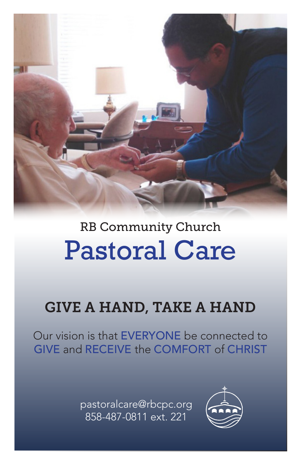

# Pastoral Care RB Community Church

## GIVE A HAND, TAKE A HAND

Our vision is that EVERYONE be connected to GIVE and RECEIVE the COMFORT of CHRIST

> pastoralcare@rbcpc.org 858-487-0811 ext. 221

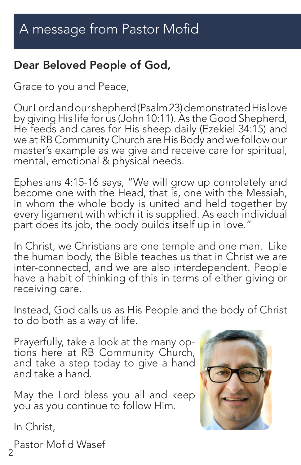## Dear Beloved People of God,

Grace to you and Peace,

Our Lord and our shepherd (Psalm 23) demonstrated His love by giving His life for us (John 10:11). As the Good Shepherd, He feeds and cares for His sheep daily (Ezekiel 34:15) and we at RB Community Church are His Body and we follow our master's example as we give and receive care for spiritual, mental, emotional & physical needs.

Ephesians 4:15-16 says, "We will grow up completely and become one with the Head, that is, one with the Messiah, in whom the whole body is united and held together by every ligament with which it is supplied. As each individual part does its job, the body builds itself up in love."

In Christ, we Christians are one temple and one man. Like the human body, the Bible teaches us that in Christ we are inter-connected, and we are also interdependent. People have a habit of thinking of this in terms of either giving or receiving care.

Instead, God calls us as His People and the body of Christ to do both as a way of life.

Prayerfully, take a look at the many op- tions here at RB Community Church, and take a step today to give a hand and take a hand.

May the Lord bless you all and keep you as you continue to follow Him.

In Christ,



2 Pastor Mofid Wasef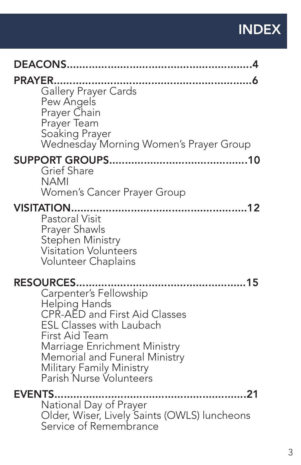## INDEX

| <b>PRAYER</b><br>Gallery Prayer Cards<br>Pew Angels<br>Prayer Chain<br>Prayer Team<br>Soaking Prayer<br>Wednesday Morning Women's Prayer Group                                                                                                                            |
|---------------------------------------------------------------------------------------------------------------------------------------------------------------------------------------------------------------------------------------------------------------------------|
| <b>Grief Share</b><br><b>NAMI</b><br>Women's Cancer Prayer Group                                                                                                                                                                                                          |
| <b>VISITATION.</b><br><b>Pastoral Visit</b><br>Prayer Shawls<br>Stephen Ministry<br><b>Visitation Volunteers</b><br>Volunteer Chaplains                                                                                                                                   |
| <b>RESOURCES</b><br>Carpenter's Fellowship<br>Helping Hands<br>CPR-AED and First Aid Classes<br><b>ESL Classes with Laubach</b><br>First Aid Team<br>Marriage Enrichment Ministry<br>Memorial and Funeral Ministry<br>Military Family Ministry<br>Parish Nurse Volunteers |
| <b>EVENTS</b><br>National Day of Prayer<br>Older, Wiser, Lively Saints (OWLS) luncheons<br>Service of Remembrance                                                                                                                                                         |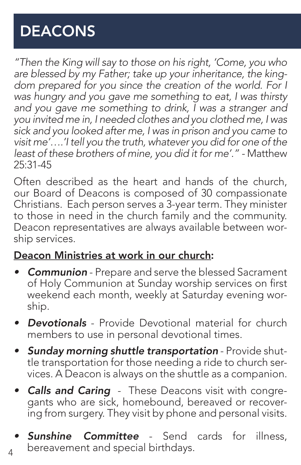## DEACONS

*"Then the King will say to those on his right, 'Come, you who are blessed by my Father; take up your inheritance, the king*dom prepared for you since the creation of the world. For I *was hungry and you gave me something to eat, I was thirsty and you gave me something to drink, I was a stranger and you invited me in, I needed clothes and you clothed me, I was sick and you looked after me, I was in prison and you came to visit me'….'I tell you the truth, whatever you did for one of the least of these brothers of mine, you did it for me'." -* Matthew 25:31-45

Often described as the heart and hands of the church, our Board of Deacons is composed of 30 compassionate Christians. Each person serves a 3-year term. They minister to those in need in the church family and the community. Deacon representatives are always available between worship services.

#### Deacon Ministries at work in our church:

- *• Communion* Prepare and serve the blessed Sacrament of Holy Communion at Sunday worship services on first weekend each month, weekly at Saturday evening worship.
- *• Devotionals* Provide Devotional material for church members to use in personal devotional times.
- *• Sunday morning shuttle transportation* Provide shuttle transportation for those needing a ride to church services. A Deacon is always on the shuttle as a companion.
- *• Calls and Caring* These Deacons visit with congregants who are sick, homebound, bereaved or recovering from surgery. They visit by phone and personal visits.
- 4 **Sunshine Committee** - Send cards for illness, bereavement and special birthdays.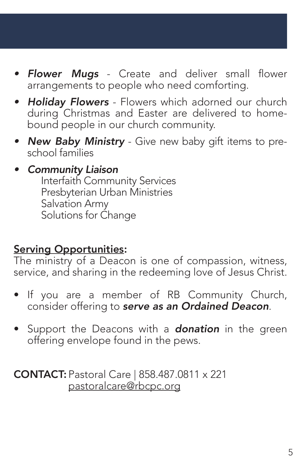- *• Flower Mugs* Create and deliver small flower arrangements to people who need comforting.
- *• Holiday Flowers* Flowers which adorned our church during Christmas and Easter are delivered to homebound people in our church community.
- *• New Baby Ministry* Give new baby gift items to preschool families

### *• Community Liaison*

Interfaith Community Services Presbyterian Urban Ministries Salvation Army Solutions for Change

## Serving Opportunities:

The ministry of a Deacon is one of compassion, witness, service, and sharing in the redeeming love of Jesus Christ.

- If you are a member of RB Community Church, consider offering to *serve as an Ordained Deacon*.
- Support the Deacons with a *donation* in the green offering envelope found in the pews.

#### CONTACT: Pastoral Care | 858.487.0811 x 221 pastoralcare@rbcpc.org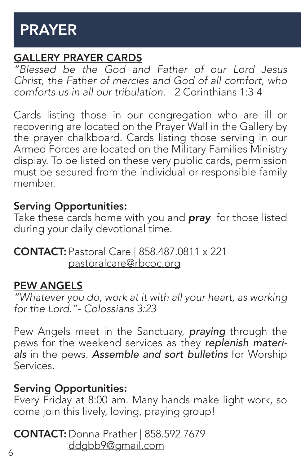## PRAYER

## GALLERY PRAYER CARDS

*"Blessed be the God and Father of our Lord Jesus Christ, the Father of mercies and God of all comfort, who comforts us in all our tribulation. -* 2 Corinthians 1:3-4

Cards listing those in our congregation who are ill or recovering are located on the Prayer Wall in the Gallery by the prayer chalkboard. Cards listing those serving in our Armed Forces are located on the Military Families Ministry display. To be listed on these very public cards, permission must be secured from the individual or responsible family member.

#### Serving Opportunities:

Take these cards home with you and *pray* for those listed during your daily devotional time.

CONTACT: Pastoral Care | 858.487.0811 x 221 pastoralcare@rbcpc.org

#### PEW ANGELS

*"Whatever you do, work at it with all your heart, as working for the Lord."- Colossians 3:23*

Pew Angels meet in the Sanctuary, *praying* through the pews for the weekend services as they *replenish materials* in the pews. *Assemble and sort bulletins* for Worship Services.

#### Serving Opportunities:

Every Friday at 8:00 am. Many hands make light work, so come join this lively, loving, praying group!

CONTACT: Donna Prather | 858.592.7679 ddgbb9@gmail.com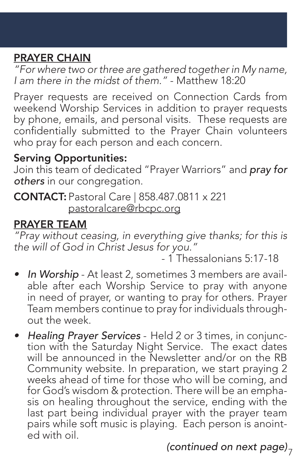## PRAYER CHAIN

*"For where two or three are gathered together in My name, I am there in the midst of them."* - Matthew 18:20

Prayer requests are received on Connection Cards from weekend Worship Services in addition to prayer requests by phone, emails, and personal visits. These requests are confidentially submitted to the Prayer Chain volunteers who pray for each person and each concern.

#### Serving Opportunities:

Join this team of dedicated "Prayer Warriors" and *pray for others* in our congregation.

CONTACT: Pastoral Care | 858.487.0811 x 221 pastoralcare@rbcpc.org

## PRAYER TEAM

*"Pray without ceasing, in everything give thanks; for this is the will of God in Christ Jesus for you."*

- 1 Thessalonians 5:17-18

- *• In Worship* At least 2, sometimes 3 members are available after each Worship Service to pray with anyone in need of prayer, or wanting to pray for others. Prayer Team members continue to pray for individuals throughout the week.
- *• Healing Prayer Services* Held 2 or 3 times, in conjunction with the Saturday Night Service. The exact dates will be announced in the Newsletter and/or on the RB Community website. In preparation, we start praying 2 weeks ahead of time for those who will be coming, and for God's wisdom & protection. There will be an emphasis on healing throughout the service, ending with the last part being individual prayer with the prayer team pairs while soft music is playing. Each person is anointed with oil.

7 *(continued on next page)*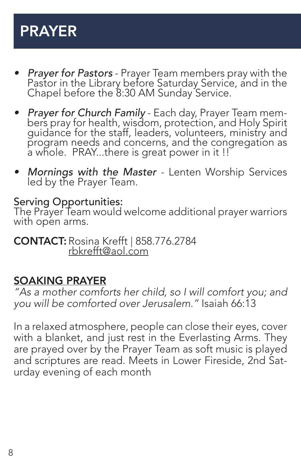## PRAYER

- *• Prayer for Pastors* Prayer Team members pray with the Pastor in the Library before Saturday Service, and in the Chapel before the 8:30 AM Sunday Service.
- *• Prayer for Church Family* Each day, Prayer Team mem- bers pray for health, wisdom, protection, and Holy Spirit guidance for the staff, leaders, volunteers, ministry and program needs and concerns, and the congregation as a whole. PRAY...there is great power in it !!
- *• Mornings with the Master*  Lenten Worship Services led by the Prayer Team.

Serving Opportunities:

The Prayer Team would welcome additional prayer warriors with open arms.

CONTACT: Rosina Krefft | 858.776.2784 rbkrefft@aol.com

#### SOAKING PRAYER

*"As a mother comforts her child, so I will comfort you; and you will be comforted over Jerusalem."* Isaiah 66:13

In a relaxed atmosphere, people can close their eyes, cover with a blanket, and just rest in the Everlasting Arms. They are prayed over by the Prayer Team as soft music is played and scriptures are read. Meets in Lower Fireside, 2nd Saturday evening of each month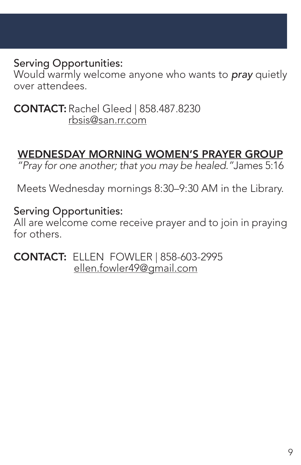#### Serving Opportunities:

Would warmly welcome anyone who wants to *pray* quietly over attendees.

CONTACT: Rachel Gleed | 858.487.8230 rbsis@san.rr.com

## WEDNESDAY MORNING WOMEN'S PRAYER GROUP

*"Pray for one another; that you may be healed."*James 5:16

Meets Wednesday mornings 8:30–9:30 AM in the Library.

#### Serving Opportunities:

All are welcome come receive prayer and to join in praying for others.

CONTACT: ELLEN FOWLER | 858-603-2995 ellen.fowler49@gmail.com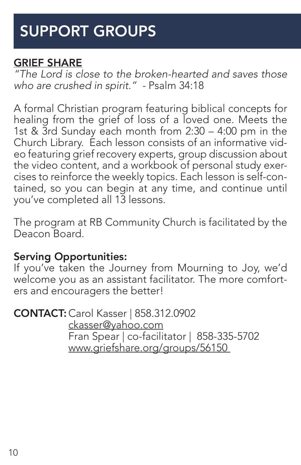## SUPPORT GROUPS

#### GRIEF SHARE

*"The Lord is close to the broken-hearted and saves those who are crushed in spirit." -* Psalm 34:18

A formal Christian program featuring biblical concepts for healing from the grief of loss of a loved one. Meets the 1st & 3rd Sunday each month from 2:30 – 4:00 pm in the Church Library. Each lesson consists of an informative video featuring grief recovery experts, group discussion about the video content, and a workbook of personal study exercises to reinforce the weekly topics. Each lesson is self-contained, so you can begin at any time, and continue until you've completed all 13 lessons.

The program at RB Community Church is facilitated by the Deacon Board.

#### Serving Opportunities:

If you've taken the Journey from Mourning to Joy, we'd welcome you as an assistant facilitator. The more comforters and encouragers the better!

CONTACT: Carol Kasser | 858.312.0902

 ckasser@yahoo.com Fran Spear | co-facilitator | 858-335-5702 www.griefshare.org/groups/56150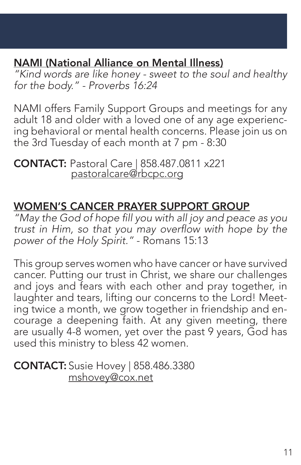## NAMI (National Alliance on Mental Illness)

*"Kind words are like honey - sweet to the soul and healthy for the body." - Proverbs 16:24*

NAMI offers Family Support Groups and meetings for any adult 18 and older with a loved one of any age experiencing behavioral or mental health concerns. Please join us on the 3rd Tuesday of each month at 7 pm - 8:30

CONTACT: Pastoral Care | 858.487.0811 x221 pastoralcare@rbcpc.org

## WOMEN'S CANCER PRAYER SUPPORT GROUP

"May the God of hope fill you with all joy and peace as you trust in Him, so that you may overflow with hope by the *power of the Holy Spirit."* - Romans 15:13

This group serves women who have cancer or have survived cancer. Putting our trust in Christ, we share our challenges and joys and fears with each other and pray together, in laughter and tears, lifting our concerns to the Lord! Meeting twice a month, we grow together in friendship and encourage a deepening faith. At any given meeting, there are usually 4-8 women, yet over the past 9 years, God has used this ministry to bless 42 women.

CONTACT: Susie Hovey | 858.486.3380 mshovey@cox.net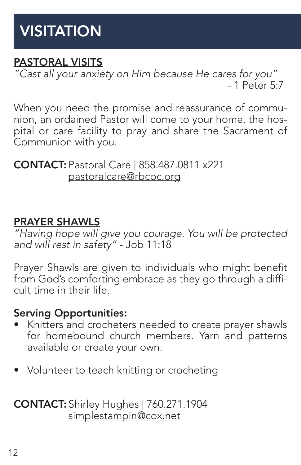## VISITATION

## PASTORAL VISITS

*"Cast all your anxiety on Him because He cares for you"* - 1 Peter 5:7

When you need the promise and reassurance of communion, an ordained Pastor will come to your home, the hospital or care facility to pray and share the Sacrament of Communion with you.

CONTACT: Pastoral Care | 858.487.0811 x221 pastoralcare@rbcpc.org

#### PRAYER SHAWLS

*"Having hope will give you courage. You will be protected and will rest in safety"* - Job 11:18

Prayer Shawls are given to individuals who might benefit from God's comforting embrace as they go through a difficult time in their life.

#### Serving Opportunities:

- Knitters and crocheters needed to create prayer shawls for homebound church members. Yarn and patterns available or create your own.
- Volunteer to teach knitting or crocheting

CONTACT: Shirley Hughes | 760.271.1904 simplestampin@cox.net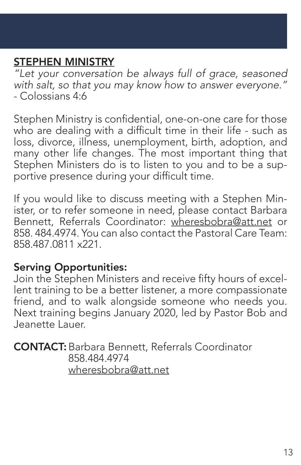## STEPHEN MINISTRY

*"Let your conversation be always full of grace, seasoned with salt, so that you may know how to answer everyone."*  - Colossians 4:6

Stephen Ministry is confidential, one-on-one care for those who are dealing with a difficult time in their life - such as loss, divorce, illness, unemployment, birth, adoption, and many other life changes. The most important thing that Stephen Ministers do is to listen to you and to be a supportive presence during your difficult time.

If you would like to discuss meeting with a Stephen Minister, or to refer someone in need, please contact Barbara Bennett, Referrals Coordinator: wheresbobra@att.net or 858. 484.4974. You can also contact the Pastoral Care Team: 858.487.0811 x221.

#### Serving Opportunities:

Join the Stephen Ministers and receive fifty hours of excellent training to be a better listener, a more compassionate friend, and to walk alongside someone who needs you. Next training begins January 2020, led by Pastor Bob and Jeanette Lauer.

CONTACT:Barbara Bennett, Referrals Coordinator 858.484.4974 wheresbobra@att.net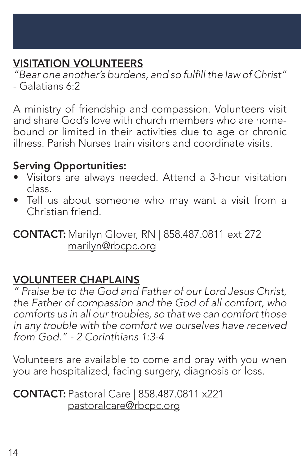## VISITATION VOLUNTEERS

"Bear one another's burdens, and so fulfill the law of Christ" - Galatians 6:2

A ministry of friendship and compassion. Volunteers visit and share God's love with church members who are homebound or limited in their activities due to age or chronic illness. Parish Nurses train visitors and coordinate visits.

#### Serving Opportunities:

- Visitors are always needed. Attend a 3-hour visitation class.
- Tell us about someone who may want a visit from a Christian friend.

CONTACT: Marilyn Glover, RN | 858.487.0811 ext 272 marilyn@rbcpc.org

#### VOLUNTEER CHAPLAINS

*" Praise be to the God and Father of our Lord Jesus Christ, the Father of compassion and the God of all comfort, who comforts us in all our troubles, so that we can comfort those in any trouble with the comfort we ourselves have received from God." - 2 Corinthians 1:3-4*

Volunteers are available to come and pray with you when you are hospitalized, facing surgery, diagnosis or loss.

CONTACT: Pastoral Care | 858.487.0811 x221 pastoralcare@rbcpc.org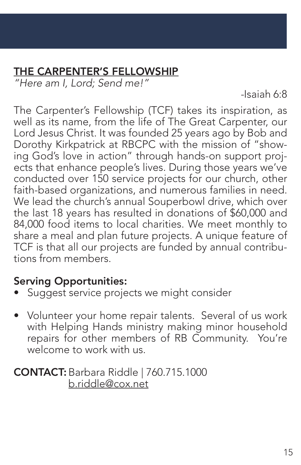## THE CARPENTER'S FELLOWSHIP

*"Here am I, Lord; Send me!"*

 *-*Isaiah 6:8

The Carpenter's Fellowship (TCF) takes its inspiration, as well as its name, from the life of The Great Carpenter, our Lord Jesus Christ. It was founded 25 years ago by Bob and Dorothy Kirkpatrick at RBCPC with the mission of "showing God's love in action" through hands-on support projects that enhance people's lives. During those years we've conducted over 150 service projects for our church, other faith-based organizations, and numerous families in need. We lead the church's annual Souperbowl drive, which over the last 18 years has resulted in donations of \$60,000 and 84,000 food items to local charities. We meet monthly to share a meal and plan future projects. A unique feature of TCF is that all our projects are funded by annual contributions from members.

#### Serving Opportunities:

- Suggest service projects we might consider
- Volunteer your home repair talents. Several of us work with Helping Hands ministry making minor household repairs for other members of RB Community. You're welcome to work with us.

CONTACT:Barbara Riddle | 760.715.1000 b.riddle@cox.net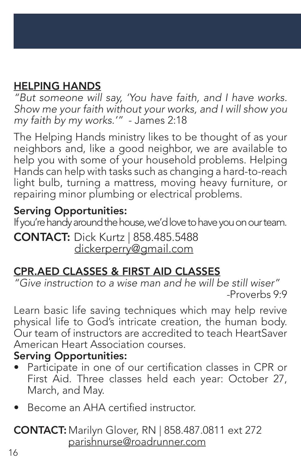## HELPING HANDS

*"But someone will say, 'You have faith, and I have works. Show me your faith without your works, and I will show you my faith by my works.'"* - James 2:18

The Helping Hands ministry likes to be thought of as your neighbors and, like a good neighbor, we are available to help you with some of your household problems. Helping Hands can help with tasks such as changing a hard-to-reach light bulb, turning a mattress, moving heavy furniture, or repairing minor plumbing or electrical problems.

## Serving Opportunities:

If you're handy around the house, we'd love to have you on our team.

CONTACT: Dick Kurtz | 858.485.5488 dickerperry@gmail.com

## CPR.AED CLASSES & FIRST AID CLASSES

*"Give instruction to a wise man and he will be still wiser" -*Proverbs 9:9

Learn basic life saving techniques which may help revive physical life to God's intricate creation, the human body. Our team of instructors are accredited to teach HeartSaver American Heart Association courses.

#### Serving Opportunities:

- Participate in one of our certification classes in CPR or First Aid. Three classes held each year: October 27, March, and May.
- Become an AHA certified instructor.

#### CONTACT: Marilyn Glover, RN | 858.487.0811 ext 272 parishnurse@roadrunner.com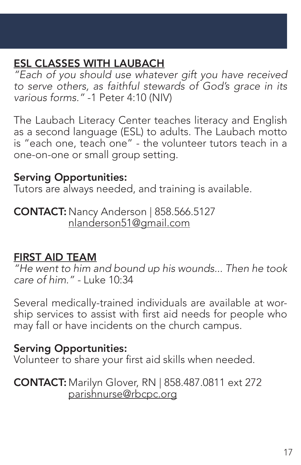## ESL CLASSES WITH LAUBACH

*"Each of you should use whatever gift you have received to serve others, as faithful stewards of God's grace in its various forms."* -1 Peter 4:10 (NIV)

The Laubach Literacy Center teaches literacy and English as a second language (ESL) to adults. The Laubach motto is "each one, teach one" - the volunteer tutors teach in a one-on-one or small group setting.

#### Serving Opportunities:

Tutors are always needed, and training is available.

**CONTACT:** Nancy Anderson | 858.566.5127 nlanderson51@gmail.com

#### FIRST AID TEAM

*"He went to him and bound up his wounds... Then he took care of him." -* Luke 10:34

Several medically-trained individuals are available at worship services to assist with first aid needs for people who may fall or have incidents on the church campus.

#### Serving Opportunities:

Volunteer to share your first aid skills when needed.

CONTACT: Marilyn Glover, RN | 858.487.0811 ext 272 parishnurse@rbcpc.org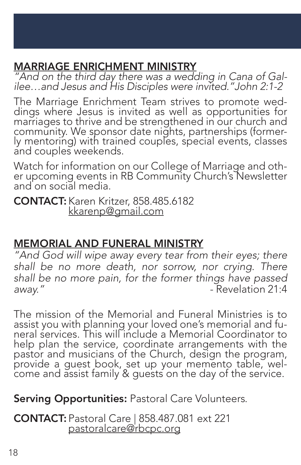## MARRIAGE ENRICHMENT MINISTRY

*"And on the third day there was a wedding in Cana of Gal- ilee…and Jesus and His Disciples were invited."John 2:1-2*

The Marriage Enrichment Team strives to promote wed- dings where Jesus is invited as well as opportunities for marriages to thrive and be strengthened in our church and community. We sponsor date nights, partnerships (former-<br>ly mentoring) with trained couples, special events, classes and couples weekends.

Watch for information on our College of Marriage and oth- er upcoming events in RB Community Church's Newsletter and on social media.

CONTACT: Karen Kritzer, 858.485.6182 kkarenp@gmail.com

## MEMORIAL AND FUNERAL MINISTRY

*"And God will wipe away every tear from their eyes; there shall be no more death, nor sorrow, nor crying. There shall be no more pain, for the former things have passed*  away." **away."** - Revelation 21:4

The mission of the Memorial and Funeral Ministries is to<br>assist you with planning your loved one's memorial and funeral services. This will include a Memorial Coordinator to help plan the service, coordinate arrangements with the pastor and musicians of the Church, design the program, provide a guest book, set up your memento table, wel- come and assist family & guests on the day of the service.

#### Serving Opportunities: Pastoral Care Volunteers.

CONTACT: Pastoral Care | 858.487.081 ext 221 pastoralcare@rbcpc.org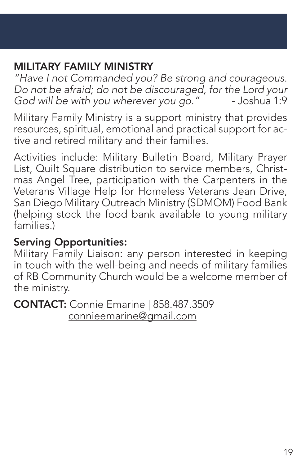## MILITARY FAMILY MINISTRY

*"Have I not Commanded you? Be strong and courageous. Do not be afraid; do not be discouraged, for the Lord your*  God will be with you wherever you go."

Military Family Ministry is a support ministry that provides resources, spiritual, emotional and practical support for active and retired military and their families.

Activities include: Military Bulletin Board, Military Prayer List, Quilt Square distribution to service members, Christmas Angel Tree, participation with the Carpenters in the Veterans Village Help for Homeless Veterans Jean Drive, San Diego Military Outreach Ministry (SDMOM) Food Bank (helping stock the food bank available to young military families.)

#### Serving Opportunities:

Military Family Liaison: any person interested in keeping in touch with the well-being and needs of military families of RB Community Church would be a welcome member of the ministry.

CONTACT: Connie Emarine | 858.487.3509 connieemarine@gmail.com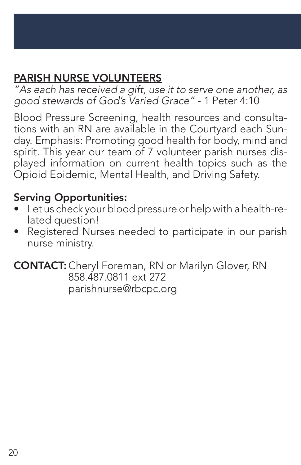## PARISH NURSE VOLUNTEERS

*"As each has received a gift, use it to serve one another, as good stewards of God's Varied Grace"* - 1 Peter 4:10

Blood Pressure Screening, health resources and consultations with an RN are available in the Courtyard each Sunday. Emphasis: Promoting good health for body, mind and spirit. This year our team of 7 volunteer parish nurses displayed information on current health topics such as the Opioid Epidemic, Mental Health, and Driving Safety.

#### Serving Opportunities:

- Let us check your blood pressure or help with a health-related question!
- Registered Nurses needed to participate in our parish nurse ministry.

CONTACT: Cheryl Foreman, RN or Marilyn Glover, RN 858.487.0811 ext 272 parishnurse@rbcpc.org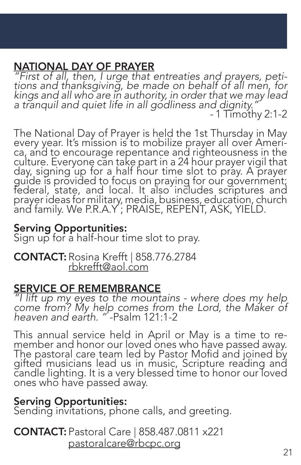### NATIONAL DAY OF PRAYER

*"First of all, then, I urge that entreaties and prayers, peti- tions and thanksgiving, be made on behalf of all men, for kings and all who are in authority, in order that we may lead a tranquil and quiet life in all godliness and dignity." -* 1 Timothy 2:1-2

The National Day of Prayer is held the 1st Thursday in May every year. It's mission is to mobilize prayer all over Ameri-<br>ca, and to encourage repentance and righteousness in the culture. Everyone can take part in a 24 hour prayer vigil that day, signing up for a half hour time slot to pray. A prayer guide is provided to focus on praying for our government; federal, state, and local. It also includes scriptures and prayer ideas for military, media, business, education, church and family. We P.R.A.Y ; PRAISE, REPENT, ASK, YIELD.

#### Serving Opportunities:

Sign up for a half-hour time slot to pray.

CONTACT: Rosina Krefft | 858.776.2784 rbkrefft@aol.com

#### SERVICE OF REMEMBRANCE

*"I lift up my eyes to the mountains - where does my help come from? My help comes from the Lord, the Maker of heaven and earth. "* -Psalm 121:1-2

This annual service held in April or May is a time to re- member and honor our loved ones who have passed away. The pastoral care team led by Pastor Mofid and joined by gifted musicians lead us in music, Scripture reading and candle lighting. It is a very blessed time to honor our loved ones who have passed away.

#### Serving Opportunities:

Sending invitations, phone calls, and greeting.

CONTACT: Pastoral Care | 858.487.0811 x221 pastoralcare@rbcpc.org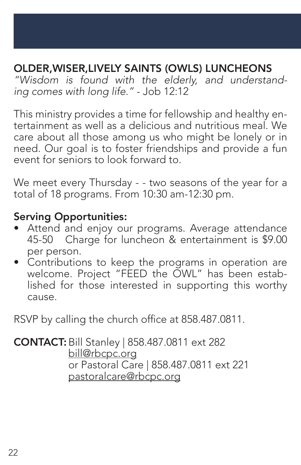### OLDER,WISER,LIVELY SAINTS (OWLS) LUNCHEONS

*"Wisdom is found with the elderly, and understanding comes with long life."* - Job 12:12

This ministry provides a time for fellowship and healthy entertainment as well as a delicious and nutritious meal. We care about all those among us who might be lonely or in need. Our goal is to foster friendships and provide a fun event for seniors to look forward to.

We meet every Thursday - - two seasons of the year for a total of 18 programs. From 10:30 am-12:30 pm.

#### Serving Opportunities:

- Attend and enjoy our programs. Average attendance 45-50 Charge for luncheon & entertainment is \$9.00 per person.
- Contributions to keep the programs in operation are welcome. Project "FEED the OWL" has been established for those interested in supporting this worthy cause.

RSVP by calling the church office at 858.487.0811.

CONTACT:Bill Stanley | 858.487.0811 ext 282 bill@rbcpc.org or Pastoral Care | 858.487.0811 ext 221 pastoralcare@rbcpc.org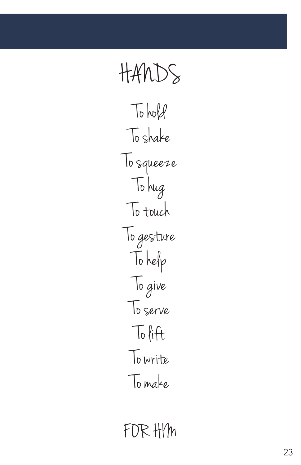

FOR HIM